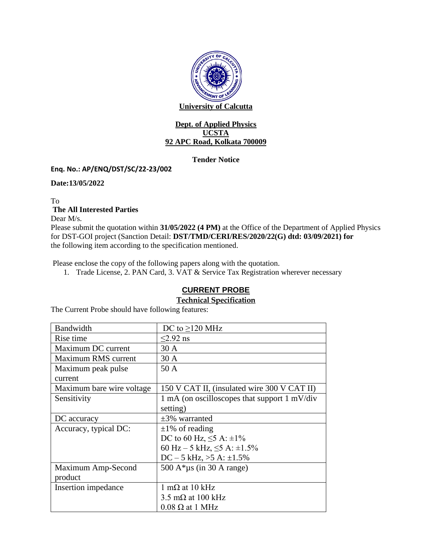

#### **Dept. of Applied Physics UCSTA 92 APC Road, Kolkata 700009**

### **Tender Notice**

### **Enq. No.: AP/ENQ/DST/SC/22-23/002**

**Date:13/05/2022**

To **The All Interested Parties** 

Dear M/s.

Please submit the quotation within **31/05/2022 (4 PM)** at the Office of the Department of Applied Physics for DST-GOI project (Sanction Detail: **DST/TMD/CERI/RES/2020/22(G) dtd: 03/09/2021) for** the following item according to the specification mentioned.

Please enclose the copy of the following papers along with the quotation.

1. Trade License, 2. PAN Card, 3. VAT & Service Tax Registration wherever necessary

# **CURRENT PROBE**

# **Technical Specification**

The Current Probe should have following features:

| Bandwidth                 | DC to $\geq$ 120 MHz                                                    |
|---------------------------|-------------------------------------------------------------------------|
| Rise time                 | $<$ 2.92 ns                                                             |
| Maximum DC current        | 30 A                                                                    |
| Maximum RMS current       | 30A                                                                     |
| Maximum peak pulse        | 50 A                                                                    |
| current                   |                                                                         |
| Maximum bare wire voltage | 150 V CAT II, (insulated wire 300 V CAT II)                             |
| Sensitivity               | $1 \text{ mA}$ (on oscilloscopes that support $1 \text{ mV}/\text{div}$ |
|                           | setting)                                                                |
| DC accuracy               | $\pm$ 3% warranted                                                      |
| Accuracy, typical DC:     | $\pm 1\%$ of reading                                                    |
|                           | DC to 60 Hz, $\leq$ 5 A: $\pm$ 1%                                       |
|                           | 60 Hz – 5 kHz, $\leq$ 5 A: $\pm$ 1.5%                                   |
|                           | $DC - 5$ kHz, $>5$ A: $\pm 1.5\%$                                       |
| Maximum Amp-Second        | 500 A* $\mu$ s (in 30 A range)                                          |
| product                   |                                                                         |
| Insertion impedance       | $1 \text{ m}\Omega$ at 10 kHz                                           |
|                           | 3.5 m $\Omega$ at 100 kHz                                               |
|                           | $0.08 \Omega$ at 1 MHz                                                  |